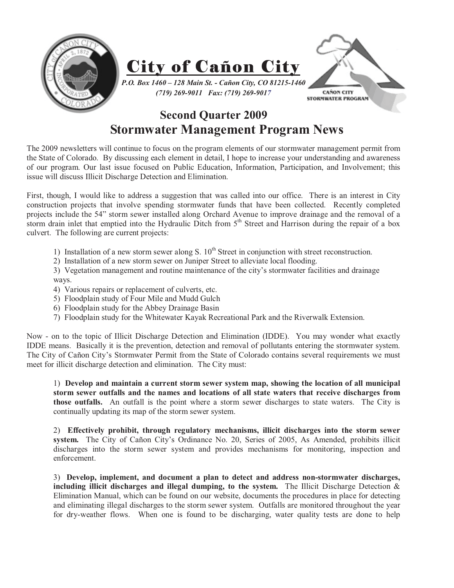

## **Second Quarter 2009 Stormwater Management Program News**

The 2009 newsletters will continue to focus on the program elements of our stormwater management permit from the State of Colorado. By discussing each element in detail, I hope to increase your understanding and awareness of our program. Our last issue focused on Public Education, Information, Participation, and Involvement; this issue will discuss Illicit Discharge Detection and Elimination.

First, though, I would like to address a suggestion that was called into our office. There is an interest in City construction projects that involve spending stormwater funds that have been collected. Recently completed projects include the 54" storm sewer installed along Orchard Avenue to improve drainage and the removal of a storm drain inlet that emptied into the Hydraulic Ditch from  $5<sup>th</sup>$  Street and Harrison during the repair of a box culvert. The following are current projects:

- 1) Installation of a new storm sewer along S.  $10<sup>th</sup>$  Street in conjunction with street reconstruction.
- 2) Installation of a new storm sewer on Juniper Street to alleviate local flooding.

3) Vegetation management and routine maintenance of the city's stormwater facilities and drainage ways.

- 4) Various repairs or replacement of culverts, etc.
- 5) Floodplain study of Four Mile and Mudd Gulch
- 6) Floodplain study for the Abbey Drainage Basin
- 7) Floodplain study for the Whitewater Kayak Recreational Park and the Riverwalk Extension.

Now - on to the topic of Illicit Discharge Detection and Elimination (IDDE). You may wonder what exactly IDDE means. Basically it is the prevention, detection and removal of pollutants entering the stormwater system. The City of Cañon City's Stormwater Permit from the State of Colorado contains several requirements we must meet for illicit discharge detection and elimination. The City must:

1) **Develop and maintain a current storm sewer system map, showing the location of all municipal storm sewer outfalls and the names and locations of all state waters that receive discharges from those outfalls.** An outfall is the point where a storm sewer discharges to state waters. The City is continually updating its map of the storm sewer system.

2) **Effectively prohibit, through regulatory mechanisms, illicit discharges into the storm sewer system.** The City of Cañon City's Ordinance No. 20, Series of 2005, As Amended, prohibits illicit discharges into the storm sewer system and provides mechanisms for monitoring, inspection and enforcement.

3) **Develop, implement, and document a plan to detect and address non-stormwater discharges, including illicit discharges and illegal dumping, to the system.** The Illicit Discharge Detection & Elimination Manual, which can be found on our website, documents the procedures in place for detecting and eliminating illegal discharges to the storm sewer system. Outfalls are monitored throughout the year for dry-weather flows. When one is found to be discharging, water quality tests are done to help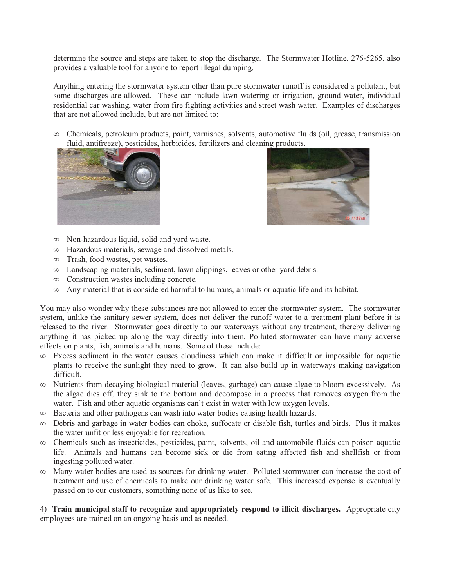determine the source and steps are taken to stop the discharge. The Stormwater Hotline, 276-5265, also provides a valuable tool for anyone to report illegal dumping.

Anything entering the stormwater system other than pure stormwater runoff is considered a pollutant, but some discharges are allowed. These can include lawn watering or irrigation, ground water, individual residential car washing, water from fire fighting activities and street wash water. Examples of discharges that are not allowed include, but are not limited to:

 $\infty$  Chemicals, petroleum products, paint, varnishes, solvents, automotive fluids (oil, grease, transmission fluid, antifreeze), pesticides, herbicides, fertilizers and cleaning products.





- Non-hazardous liquid, solid and yard waste.
- Hazardous materials, sewage and dissolved metals.
- Trash, food wastes, pet wastes.
- Landscaping materials, sediment, lawn clippings, leaves or other yard debris.
- $\infty$ Construction wastes including concrete.
- $\infty$ Any material that is considered harmful to humans, animals or aquatic life and its habitat.

You may also wonder why these substances are not allowed to enter the stormwater system. The stormwater system, unlike the sanitary sewer system, does not deliver the runoff water to a treatment plant before it is released to the river. Stormwater goes directly to our waterways without any treatment, thereby delivering anything it has picked up along the way directly into them. Polluted stormwater can have many adverse effects on plants, fish, animals and humans. Some of these include:

- Excess sediment in the water causes cloudiness which can make it difficult or impossible for aquatic plants to receive the sunlight they need to grow. It can also build up in waterways making navigation difficult.
- $\infty$  Nutrients from decaying biological material (leaves, garbage) can cause algae to bloom excessively. As the algae dies off, they sink to the bottom and decompose in a process that removes oxygen from the water. Fish and other aquatic organisms can't exist in water with low oxygen levels.
- Bacteria and other pathogens can wash into water bodies causing health hazards.
- Debris and garbage in water bodies can choke, suffocate or disable fish, turtles and birds. Plus it makes the water unfit or less enjoyable for recreation.
- Chemicals such as insecticides, pesticides, paint, solvents, oil and automobile fluids can poison aquatic life. Animals and humans can become sick or die from eating affected fish and shellfish or from ingesting polluted water.
- $\infty$  Many water bodies are used as sources for drinking water. Polluted stormwater can increase the cost of treatment and use of chemicals to make our drinking water safe. This increased expense is eventually passed on to our customers, something none of us like to see.

4) **Train municipal staff to recognize and appropriately respond to illicit discharges.** Appropriate city employees are trained on an ongoing basis and as needed.